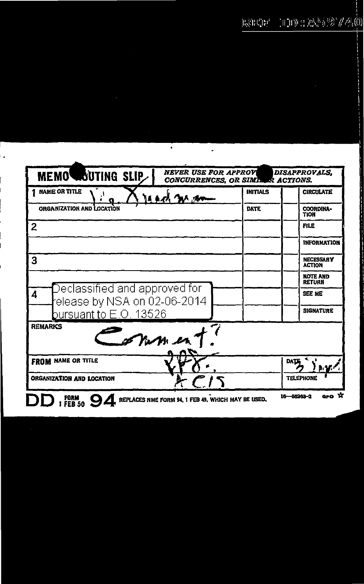## $\text{min}\left\{ \mathbb{E} \left[ \mathbb{E} \left[ \mathbb{E} \left[ \mathbb{E} \left[ \mathbb{E} \left[ \mathbb{E} \left[ \mathbb{E} \left[ \mathbb{E} \left[ \mathbb{E} \left[ \mathbb{E} \left[ \mathbb{E} \left[ \mathbb{E} \left[ \mathbb{E} \left[ \mathbb{E} \left[ \mathbb{E} \left[ \mathbb{E} \left[ \mathbb{E} \left[ \mathbb{E} \left[ \mathbb{E} \left[ \mathbb{E} \left[ \mathbb{E} \left[ \mathbb{E} \left[ \mathbb{E} \left[ \mathbb{E$  $\mathrm{H}^3_\mathrm{N} \mathrm{H}^2_\mathrm{N} \mathrm{H}^4$

| <b>NEVER USE FOR APPROV</b><br>MEMOWOUTING SLIP<br><b>CONCURRENCES, OR SIMILER ACTIONS.</b>             |                 | <b>DISAPPROVALS</b>               |
|---------------------------------------------------------------------------------------------------------|-----------------|-----------------------------------|
| <b>NAME OR TITLE</b><br><b>MAC WAR</b>                                                                  | <b>INITIALS</b> | <b>CIRCULATE</b>                  |
| ORGANIZATION AND LOCATION                                                                               | DATE            | COORDINA-<br><b>TION</b>          |
| 2                                                                                                       |                 | <b>FILE</b>                       |
|                                                                                                         |                 | <b>INFORMATION</b>                |
| 3                                                                                                       |                 | <b>NECESSARY</b><br><b>ACTION</b> |
|                                                                                                         |                 | <b>NOTE AND</b><br><b>RETURN</b>  |
| $\bar{D}$ eclassified and approved for<br>4<br>elease by NSA on 02-06-2014                              |                 | <b>SEE ME</b>                     |
| bursuant to E.O. 13526                                                                                  |                 | <b>SIGNATURE</b>                  |
| <b>REMARKS</b><br>27.1127                                                                               |                 |                                   |
| <b>FROM NAME OR TITLE</b>                                                                               |                 | <b>DATE</b>                       |
| ORGANIZATION AND LOCATION                                                                               |                 | <b>TELEPHONE</b>                  |
| $0.0$ $\pi$<br>$16 - 56262 - 2$<br>FORM<br>FEB 50<br>REPLACES NME FORM 94, 1 FEB 49, WHICH MAY BE USED, |                 |                                   |

Τ

 $\ddot{\phantom{0}}$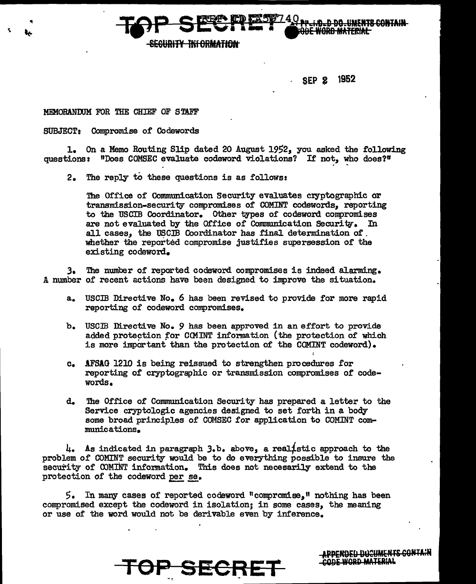

 $\begin{picture}(180,180)(0,0) \put(0,0){\line(1,0){155}} \put(1,0){\line(1,0){155}} \put(1,0){\line(1,0){155}} \put(1,0){\line(1,0){155}} \put(1,0){\line(1,0){155}} \put(1,0){\line(1,0){155}} \put(1,0){\line(1,0){155}} \put(1,0){\line(1,0){155}} \put(1,0){\line(1,0){155}} \put(1,0){\line(1,0){155}} \put(1,0){\line(1,0){155}} \put(1,$ 

SEP 2 1952

## MEMORANOOM FOR THE CHIEF OF STAFF

SUBJECT: Compromise of Codewords

1. On a Memo Routing Slip dated 20 August 1952, you asked the following questions: "Does COMSEC evaluate codeword violations? If not, who does?"

2. The reply to these questions is as follows:

The Office of Communication Security evaluates cryptographic or transmission-security compromises of COMINT codewords, reporting to the USCIB Coordinator. Other types of codeword compromises are not evaluated by the Office of Communication Security. In all cases, the USCIB Coordinator has final determination 0£ . whether the reported compromise justifies supersession of the existing codeword.

*3.* The number of reported codeword. compromises is indeed alarming. A number of recent actions have been designed to inprove the situation.

- a. USCIB Directive No. 6 has been revised to provide for more rapid reporting of codeword compromises.
- b. USCIB Directive No. 9 has been approved in an effort to provide added protection for COMINT information (the protection of which is more important than the protection of the COMINT codeword).
- c. !FSlG 1210 is being reissued to strengthen procedures £or reporting 0£ cryptographic or transmission compromises of codewords.
- d. 'lhe Office of Communication Security has prepared a letter to the Service cryptologic agencies designed to set forth in a body some broad principles of COMSEC for application to COMINT communications.

 $l_+$ . As indicated in paragraph  $3.b.$  above, a realistic approach to the problem of COMINT security would be to do everything possible to insure the security of COMINT information. This does not necesarily extend to the protection of the codeword per se.

 $5.$  In many cases of reported codeword "compromise," nothing has been compromised except the codeword in isolation; in some cases, the meaning or use of the word would not be derivable even by inference.

OP SECRE

APPENDED DOCUMENTS CONTAIN CODE WORD MATERIAL

~~~~~~~~~~~~~~---------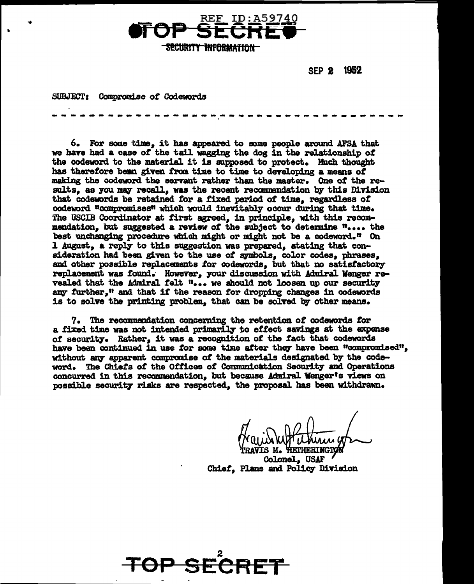

SEP 2 1952

SUBJECT: Compromise of Codewords

6. For some time, it has appeared to some people around AFSA that we have had a case of the tail wagging the dog in the relationship of the codeword to the material it is supposed to protect. Much thought has therefore bean given from time to time to developing a means of making the codeword the servant rather than the master. One *ot* the results, as you may recall, was the recent recommendation by this Division that codewords be retained tor a fixed period *ot* time, regardless *ot*  codeword "compromises" which would inevitably occur during that time. The USCIB Coordinator at first agreed, in principle, with this recommendation, but suggested a review of the subject to determine ".... the best unchanging procedure which might or might not be a codeword.<sup> $n$ </sup> On 1 August, a reply to this suggestion was prepared, atating that consideration had been given to the use of symbols, color codes, phrases, and other possible replacements for codewords, but that no satisfactory replacement was found. However, your discussion with Admiral Wenger revealed that the Admiral felt "... we should not loosen up our security any further," and that if the reason for dropping changes in codewords is to solve the printing problem. that can be solved by other means.

------------------~-~-----------------

7. The recommendation concerning the retention of codewords tor a fixed time was not intended primarily to effect savings at the expense of security. Rather, it was a recognition of the fact that codewords have been continued in use for some time after they have been "compromised", without any apparent compromise of the materials designated by the codeword. The Chiefs of the Offices of Communication Security and Operations concurred in this recommendation. but because Admiral Wenger's views on possible security risks are respected, the proposal has been withdrawn.

Colonel, USAF Chief, Plans and Policy Division